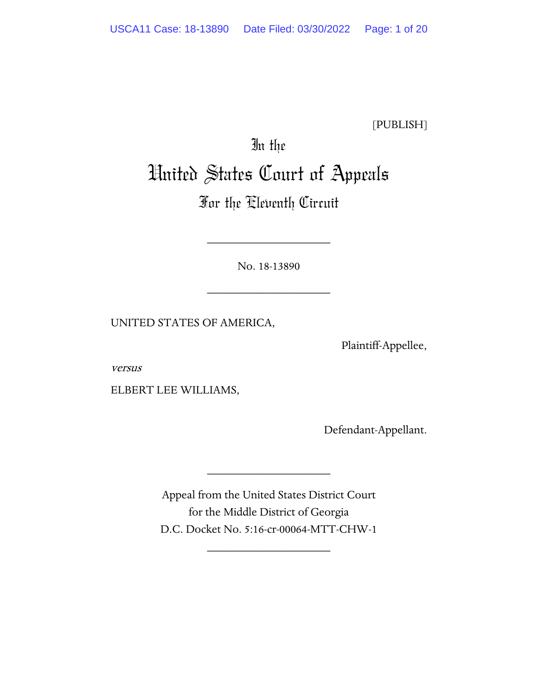[PUBLISH]

# In the United States Court of Appeals

# For the Eleventh Circuit

No. 18-13890

\_\_\_\_\_\_\_\_\_\_\_\_\_\_\_\_\_\_\_\_

\_\_\_\_\_\_\_\_\_\_\_\_\_\_\_\_\_\_\_\_

UNITED STATES OF AMERICA,

Plaintiff-Appellee,

versus

ELBERT LEE WILLIAMS,

Defendant-Appellant.

Appeal from the United States District Court for the Middle District of Georgia D.C. Docket No. 5:16-cr-00064-MTT-CHW-1

\_\_\_\_\_\_\_\_\_\_\_\_\_\_\_\_\_\_\_\_

\_\_\_\_\_\_\_\_\_\_\_\_\_\_\_\_\_\_\_\_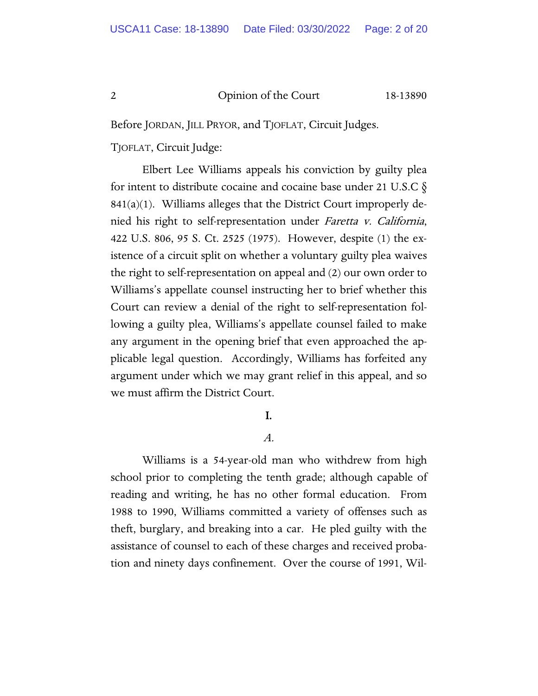Before JORDAN, JILL PRYOR, and TJOFLAT, Circuit Judges.

TJOFLAT, Circuit Judge:

Elbert Lee Williams appeals his conviction by guilty plea for intent to distribute cocaine and cocaine base under 21 U.S.C  $\S$  $841(a)(1)$ . Williams alleges that the District Court improperly denied his right to self-representation under Faretta v. California, 422 U.S. 806, 95 S. Ct. 2525 (1975). However, despite (1) the existence of a circuit split on whether a voluntary guilty plea waives the right to self-representation on appeal and (2) our own order to Williams's appellate counsel instructing her to brief whether this Court can review a denial of the right to self-representation following a guilty plea, Williams's appellate counsel failed to make any argument in the opening brief that even approached the applicable legal question. Accordingly, Williams has forfeited any argument under which we may grant relief in this appeal, and so we must affirm the District Court.

# I.

#### A.

Williams is a 54-year-old man who withdrew from high school prior to completing the tenth grade; although capable of reading and writing, he has no other formal education. From 1988 to 1990, Williams committed a variety of offenses such as theft, burglary, and breaking into a car. He pled guilty with the assistance of counsel to each of these charges and received probation and ninety days confinement. Over the course of 1991, Wil-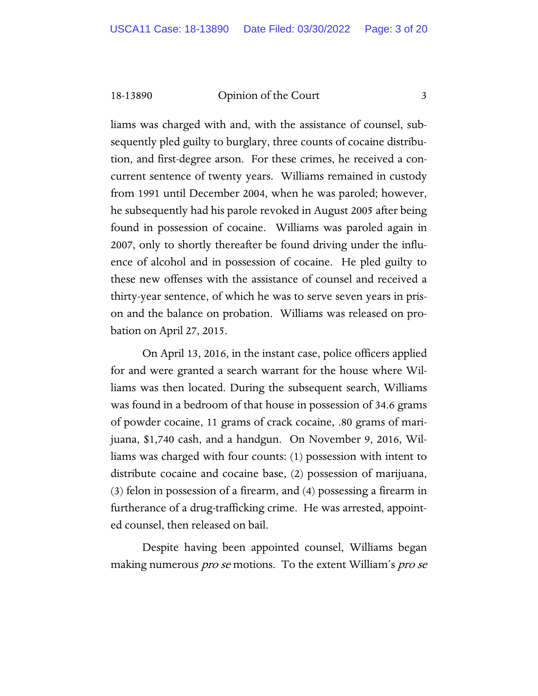liams was charged with and, with the assistance of counsel, subsequently pled guilty to burglary, three counts of cocaine distribution, and first-degree arson. For these crimes, he received a concurrent sentence of twenty years. Williams remained in custody from 1991 until December 2004, when he was paroled; however, he subsequently had his parole revoked in August 2005 after being found in possession of cocaine. Williams was paroled again in 2007, only to shortly thereafter be found driving under the influence of alcohol and in possession of cocaine. He pled guilty to these new offenses with the assistance of counsel and received a thirty-year sentence, of which he was to serve seven years in prison and the balance on probation. Williams was released on probation on April 27, 2015.

On April 13, 2016, in the instant case, police officers applied for and were granted a search warrant for the house where Williams was then located. During the subsequent search, Williams was found in a bedroom of that house in possession of 34.6 grams of powder cocaine, 11 grams of crack cocaine, .80 grams of marijuana, \$1,740 cash, and a handgun. On November 9, 2016, Williams was charged with four counts: (1) possession with intent to distribute cocaine and cocaine base, (2) possession of marijuana, (3) felon in possession of a firearm, and (4) possessing a firearm in furtherance of a drug-trafficking crime. He was arrested, appointed counsel, then released on bail.

Despite having been appointed counsel, Williams began making numerous *pro se* motions. To the extent William's *pro se*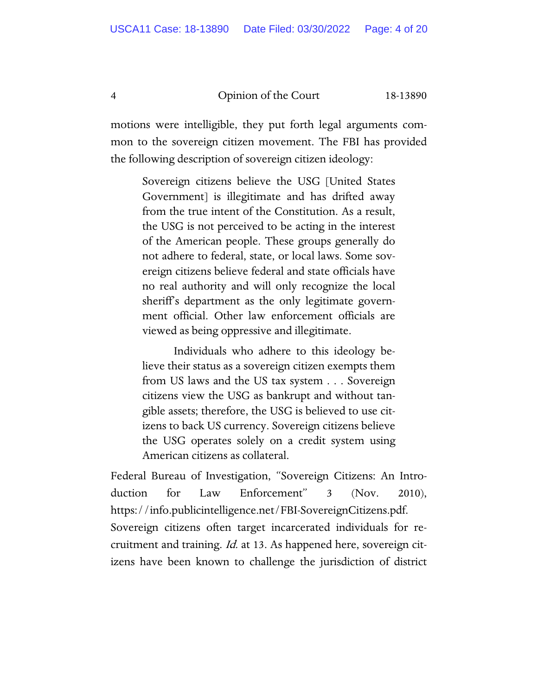motions were intelligible, they put forth legal arguments common to the sovereign citizen movement. The FBI has provided the following description of sovereign citizen ideology:

Sovereign citizens believe the USG [United States Government] is illegitimate and has drifted away from the true intent of the Constitution. As a result, the USG is not perceived to be acting in the interest of the American people. These groups generally do not adhere to federal, state, or local laws. Some sovereign citizens believe federal and state officials have no real authority and will only recognize the local sheriff's department as the only legitimate government official. Other law enforcement officials are viewed as being oppressive and illegitimate.

Individuals who adhere to this ideology believe their status as a sovereign citizen exempts them from US laws and the US tax system . . . Sovereign citizens view the USG as bankrupt and without tangible assets; therefore, the USG is believed to use citizens to back US currency. Sovereign citizens believe the USG operates solely on a credit system using American citizens as collateral.

Federal Bureau of Investigation, "Sovereign Citizens: An Introduction for Law Enforcement" 3 (Nov. 2010), https://info.publicintelligence.net/FBI-SovereignCitizens.pdf. Sovereign citizens often target incarcerated individuals for recruitment and training. Id. at 13. As happened here, sovereign citizens have been known to challenge the jurisdiction of district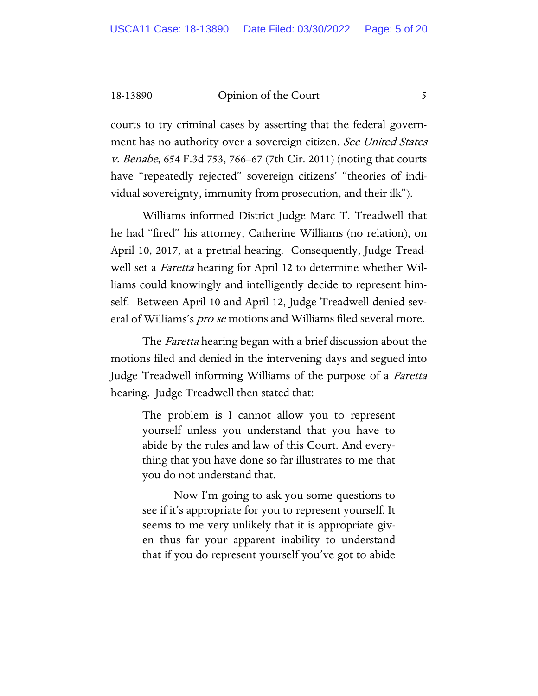courts to try criminal cases by asserting that the federal government has no authority over a sovereign citizen. See United States v. Benabe, 654 F.3d 753, 766–67 (7th Cir. 2011) (noting that courts have "repeatedly rejected" sovereign citizens' "theories of individual sovereignty, immunity from prosecution, and their ilk").

Williams informed District Judge Marc T. Treadwell that he had "fired" his attorney, Catherine Williams (no relation), on April 10, 2017, at a pretrial hearing. Consequently, Judge Treadwell set a *Faretta* hearing for April 12 to determine whether Williams could knowingly and intelligently decide to represent himself. Between April 10 and April 12, Judge Treadwell denied several of Williams's *pro se* motions and Williams filed several more.

The *Faretta* hearing began with a brief discussion about the motions filed and denied in the intervening days and segued into Judge Treadwell informing Williams of the purpose of a *Faretta* hearing. Judge Treadwell then stated that:

> The problem is I cannot allow you to represent yourself unless you understand that you have to abide by the rules and law of this Court. And everything that you have done so far illustrates to me that you do not understand that.

> Now I'm going to ask you some questions to see if it's appropriate for you to represent yourself. It seems to me very unlikely that it is appropriate given thus far your apparent inability to understand that if you do represent yourself you've got to abide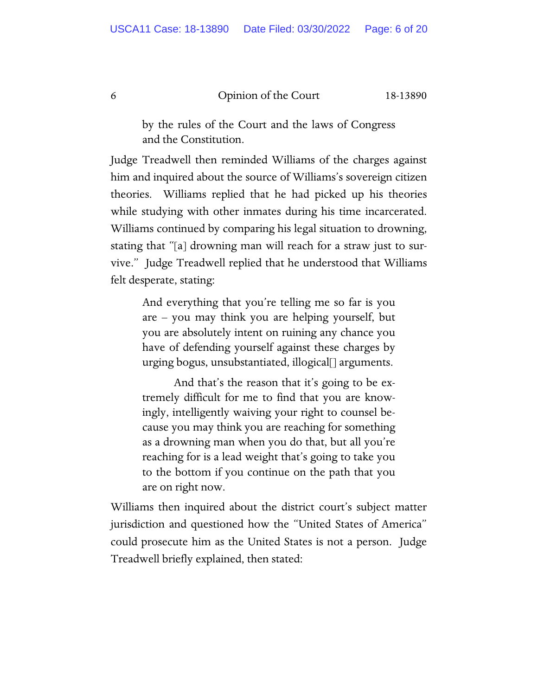by the rules of the Court and the laws of Congress and the Constitution.

Judge Treadwell then reminded Williams of the charges against him and inquired about the source of Williams's sovereign citizen theories. Williams replied that he had picked up his theories while studying with other inmates during his time incarcerated. Williams continued by comparing his legal situation to drowning, stating that "[a] drowning man will reach for a straw just to survive." Judge Treadwell replied that he understood that Williams felt desperate, stating:

And everything that you're telling me so far is you are – you may think you are helping yourself, but you are absolutely intent on ruining any chance you have of defending yourself against these charges by urging bogus, unsubstantiated, illogical[] arguments.

And that's the reason that it's going to be extremely difficult for me to find that you are knowingly, intelligently waiving your right to counsel because you may think you are reaching for something as a drowning man when you do that, but all you're reaching for is a lead weight that's going to take you to the bottom if you continue on the path that you are on right now.

Williams then inquired about the district court's subject matter jurisdiction and questioned how the "United States of America" could prosecute him as the United States is not a person. Judge Treadwell briefly explained, then stated: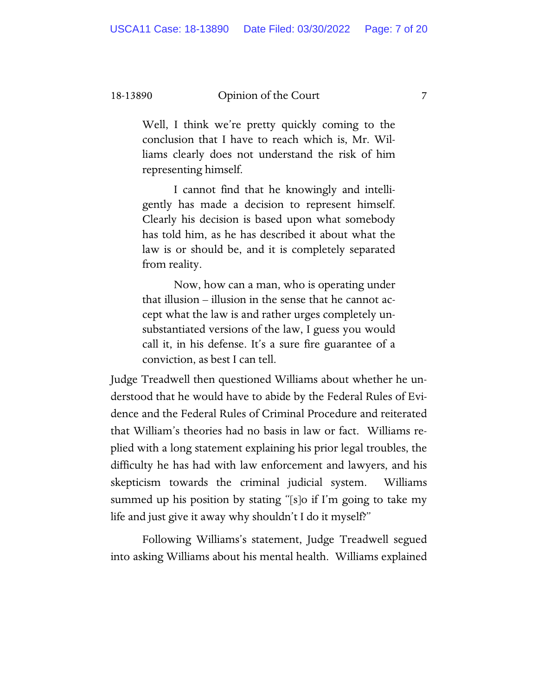Well, I think we're pretty quickly coming to the conclusion that I have to reach which is, Mr. Williams clearly does not understand the risk of him representing himself.

I cannot find that he knowingly and intelligently has made a decision to represent himself. Clearly his decision is based upon what somebody has told him, as he has described it about what the law is or should be, and it is completely separated from reality.

Now, how can a man, who is operating under that illusion – illusion in the sense that he cannot accept what the law is and rather urges completely unsubstantiated versions of the law, I guess you would call it, in his defense. It's a sure fire guarantee of a conviction, as best I can tell.

Judge Treadwell then questioned Williams about whether he understood that he would have to abide by the Federal Rules of Evidence and the Federal Rules of Criminal Procedure and reiterated that William's theories had no basis in law or fact. Williams replied with a long statement explaining his prior legal troubles, the difficulty he has had with law enforcement and lawyers, and his skepticism towards the criminal judicial system. Williams summed up his position by stating "[s]o if I'm going to take my life and just give it away why shouldn't I do it myself?"

Following Williams's statement, Judge Treadwell segued into asking Williams about his mental health. Williams explained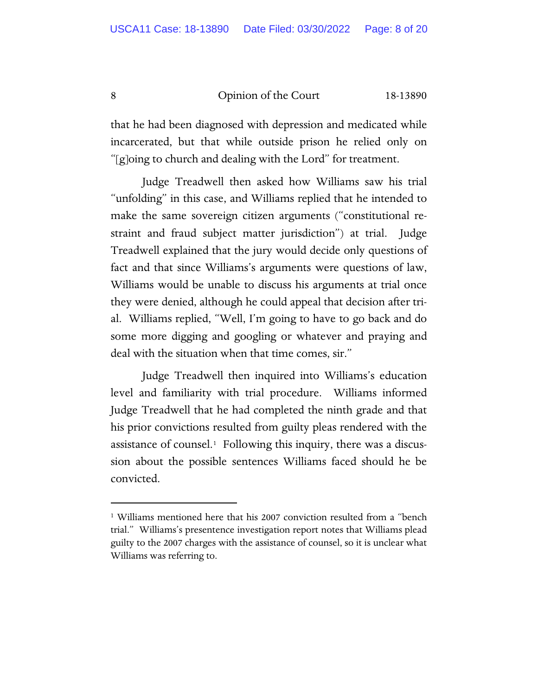that he had been diagnosed with depression and medicated while incarcerated, but that while outside prison he relied only on "[g]oing to church and dealing with the Lord" for treatment.

Judge Treadwell then asked how Williams saw his trial "unfolding" in this case, and Williams replied that he intended to make the same sovereign citizen arguments ("constitutional restraint and fraud subject matter jurisdiction") at trial. Judge Treadwell explained that the jury would decide only questions of fact and that since Williams's arguments were questions of law, Williams would be unable to discuss his arguments at trial once they were denied, although he could appeal that decision after trial. Williams replied, "Well, I'm going to have to go back and do some more digging and googling or whatever and praying and deal with the situation when that time comes, sir."

Judge Treadwell then inquired into Williams's education level and familiarity with trial procedure. Williams informed Judge Treadwell that he had completed the ninth grade and that his prior convictions resulted from guilty pleas rendered with the assistance of counsel.[1](#page-7-0) Following this inquiry, there was a discussion about the possible sentences Williams faced should he be convicted.

<span id="page-7-0"></span><sup>&</sup>lt;sup>1</sup> Williams mentioned here that his 2007 conviction resulted from a "bench trial." Williams's presentence investigation report notes that Williams plead guilty to the 2007 charges with the assistance of counsel, so it is unclear what Williams was referring to.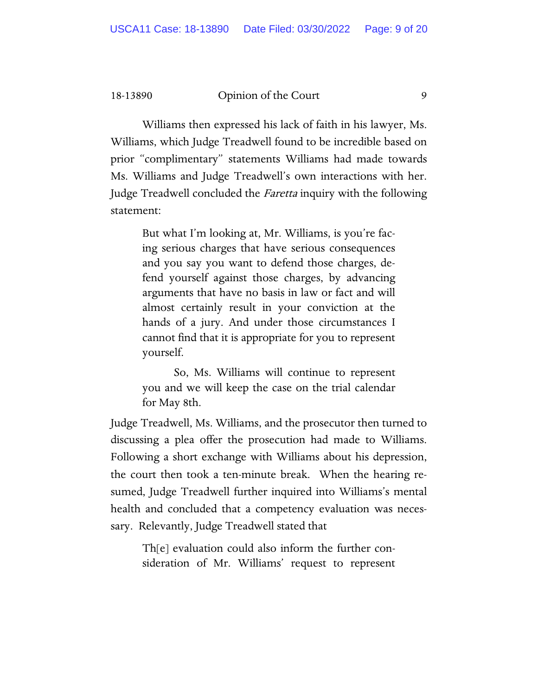Williams then expressed his lack of faith in his lawyer, Ms. Williams, which Judge Treadwell found to be incredible based on prior "complimentary" statements Williams had made towards Ms. Williams and Judge Treadwell's own interactions with her. Judge Treadwell concluded the Faretta inquiry with the following statement:

> But what I'm looking at, Mr. Williams, is you're facing serious charges that have serious consequences and you say you want to defend those charges, defend yourself against those charges, by advancing arguments that have no basis in law or fact and will almost certainly result in your conviction at the hands of a jury. And under those circumstances I cannot find that it is appropriate for you to represent yourself.

> So, Ms. Williams will continue to represent you and we will keep the case on the trial calendar for May 8th.

Judge Treadwell, Ms. Williams, and the prosecutor then turned to discussing a plea offer the prosecution had made to Williams. Following a short exchange with Williams about his depression, the court then took a ten-minute break. When the hearing resumed, Judge Treadwell further inquired into Williams's mental health and concluded that a competency evaluation was necessary. Relevantly, Judge Treadwell stated that

> Th[e] evaluation could also inform the further consideration of Mr. Williams' request to represent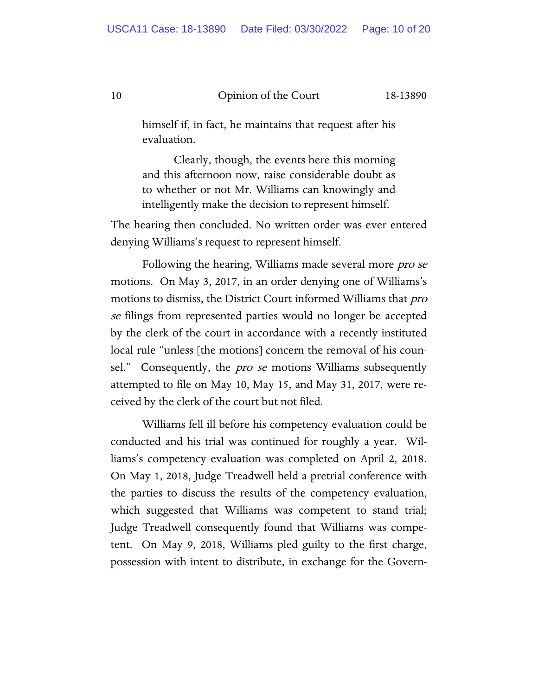himself if, in fact, he maintains that request after his evaluation.

Clearly, though, the events here this morning and this afternoon now, raise considerable doubt as to whether or not Mr. Williams can knowingly and intelligently make the decision to represent himself.

The hearing then concluded. No written order was ever entered denying Williams's request to represent himself.

Following the hearing, Williams made several more *pro se* motions. On May 3, 2017, in an order denying one of Williams's motions to dismiss, the District Court informed Williams that *pro* se filings from represented parties would no longer be accepted by the clerk of the court in accordance with a recently instituted local rule "unless [the motions] concern the removal of his counsel." Consequently, the *pro se* motions Williams subsequently attempted to file on May 10, May 15, and May 31, 2017, were received by the clerk of the court but not filed.

Williams fell ill before his competency evaluation could be conducted and his trial was continued for roughly a year. Williams's competency evaluation was completed on April 2, 2018. On May 1, 2018, Judge Treadwell held a pretrial conference with the parties to discuss the results of the competency evaluation, which suggested that Williams was competent to stand trial; Judge Treadwell consequently found that Williams was competent. On May 9, 2018, Williams pled guilty to the first charge, possession with intent to distribute, in exchange for the Govern-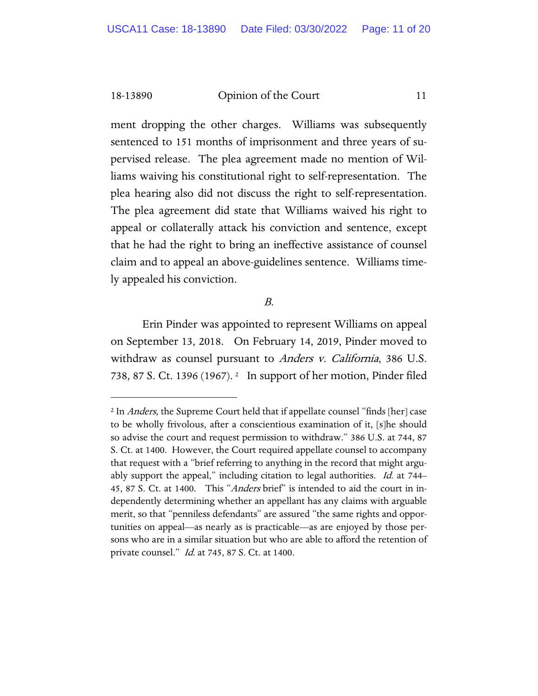ment dropping the other charges. Williams was subsequently sentenced to 151 months of imprisonment and three years of supervised release. The plea agreement made no mention of Williams waiving his constitutional right to self-representation. The plea hearing also did not discuss the right to self-representation. The plea agreement did state that Williams waived his right to appeal or collaterally attack his conviction and sentence, except that he had the right to bring an ineffective assistance of counsel claim and to appeal an above-guidelines sentence. Williams timely appealed his conviction.

#### B.

Erin Pinder was appointed to represent Williams on appeal on September 13, 2018. On February 14, 2019, Pinder moved to withdraw as counsel pursuant to Anders v. California, 386 U.S. 738, 87 S. Ct. 1396 (1967). [2](#page-10-0) In support of her motion, Pinder filed

<span id="page-10-0"></span><sup>&</sup>lt;sup>2</sup> In *Anders*, the Supreme Court held that if appellate counsel "finds [her] case to be wholly frivolous, after a conscientious examination of it, [s]he should so advise the court and request permission to withdraw." 386 U.S. at 744, 87 S. Ct. at 1400. However, the Court required appellate counsel to accompany that request with a "brief referring to anything in the record that might arguably support the appeal," including citation to legal authorities. *Id.* at 744– 45, 87 S. Ct. at 1400. This "Anders brief" is intended to aid the court in independently determining whether an appellant has any claims with arguable merit, so that "penniless defendants" are assured "the same rights and opportunities on appeal—as nearly as is practicable—as are enjoyed by those persons who are in a similar situation but who are able to afford the retention of private counsel." *Id.* at 745, 87 S. Ct. at 1400.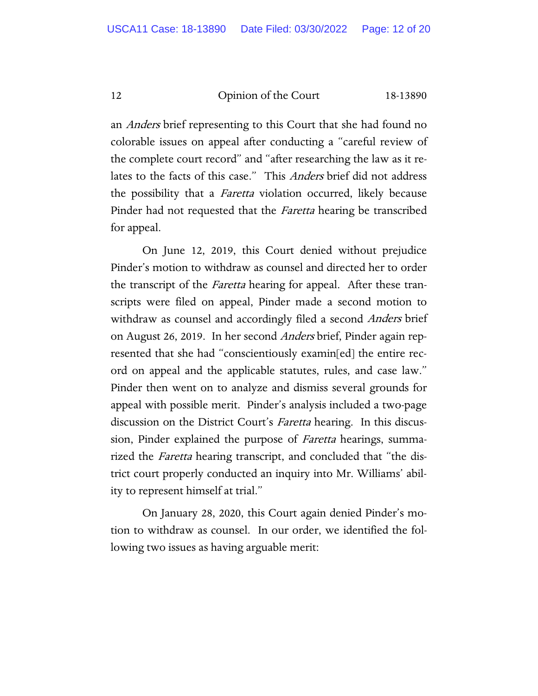an *Anders* brief representing to this Court that she had found no colorable issues on appeal after conducting a "careful review of the complete court record" and "after researching the law as it relates to the facts of this case." This Anders brief did not address the possibility that a *Faretta* violation occurred, likely because Pinder had not requested that the *Faretta* hearing be transcribed for appeal.

On June 12, 2019, this Court denied without prejudice Pinder's motion to withdraw as counsel and directed her to order the transcript of the *Faretta* hearing for appeal. After these transcripts were filed on appeal, Pinder made a second motion to withdraw as counsel and accordingly filed a second Anders brief on August 26, 2019. In her second *Anders* brief, Pinder again represented that she had "conscientiously examin[ed] the entire record on appeal and the applicable statutes, rules, and case law." Pinder then went on to analyze and dismiss several grounds for appeal with possible merit. Pinder's analysis included a two-page discussion on the District Court's *Faretta* hearing. In this discussion, Pinder explained the purpose of *Faretta* hearings, summarized the *Faretta* hearing transcript, and concluded that "the district court properly conducted an inquiry into Mr. Williams' ability to represent himself at trial."

On January 28, 2020, this Court again denied Pinder's motion to withdraw as counsel. In our order, we identified the following two issues as having arguable merit: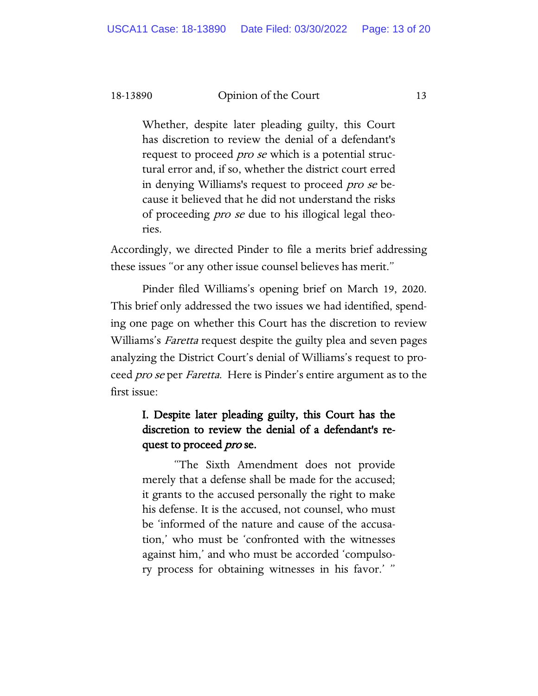Whether, despite later pleading guilty, this Court has discretion to review the denial of a defendant's request to proceed *pro se* which is a potential structural error and, if so, whether the district court erred in denying Williams's request to proceed pro se because it believed that he did not understand the risks of proceeding pro se due to his illogical legal theories.

Accordingly, we directed Pinder to file a merits brief addressing these issues "or any other issue counsel believes has merit."

Pinder filed Williams's opening brief on March 19, 2020. This brief only addressed the two issues we had identified, spending one page on whether this Court has the discretion to review Williams's *Faretta* request despite the guilty plea and seven pages analyzing the District Court's denial of Williams's request to proceed *pro se* per *Faretta*. Here is Pinder's entire argument as to the first issue:

# I. Despite later pleading guilty, this Court has the discretion to review the denial of a defendant's request to proceed *pro* se.

"The Sixth Amendment does not provide merely that a defense shall be made for the accused; it grants to the accused personally the right to make his defense. It is the accused, not counsel, who must be 'informed of the nature and cause of the accusation,' who must be 'confronted with the witnesses against him,' and who must be accorded 'compulsory process for obtaining witnesses in his favor.' "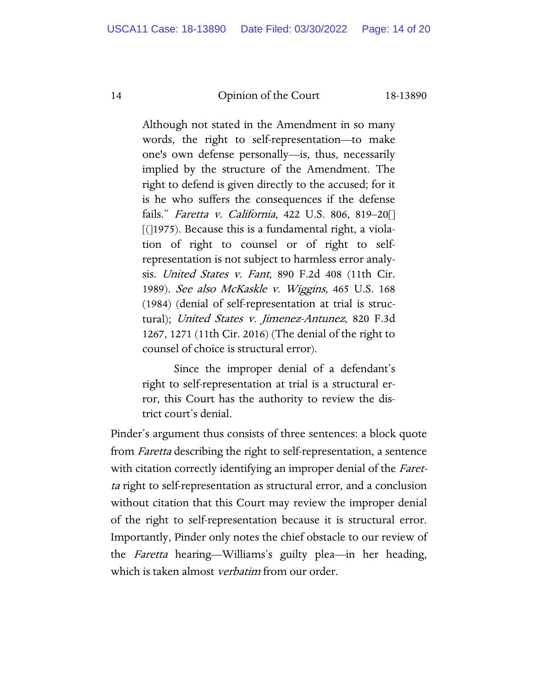Although not stated in the Amendment in so many words, the right to self-representation—to make one's own defense personally—is, thus, necessarily implied by the structure of the Amendment. The right to defend is given directly to the accused; for it is he who suffers the consequences if the defense fails." Faretta v. California, 422 U.S. 806, 819–20[]  $\lceil$ ( $\rceil$ 1975). Because this is a fundamental right, a violation of right to counsel or of right to selfrepresentation is not subject to harmless error analysis. United States v. Fant, 890 F.2d 408 (11th Cir. 1989). See also McKaskle v. Wiggins, 465 U.S. 168 (1984) (denial of self-representation at trial is structural); United States v. Jimenez-Antunez, 820 F.3d 1267, 1271 (11th Cir. 2016) (The denial of the right to counsel of choice is structural error).

Since the improper denial of a defendant's right to self-representation at trial is a structural error, this Court has the authority to review the district court's denial.

Pinder's argument thus consists of three sentences: a block quote from Faretta describing the right to self-representation, a sentence with citation correctly identifying an improper denial of the *Faret*ta right to self-representation as structural error, and a conclusion without citation that this Court may review the improper denial of the right to self-representation because it is structural error. Importantly, Pinder only notes the chief obstacle to our review of the Faretta hearing—Williams's guilty plea—in her heading, which is taken almost *verbatim* from our order.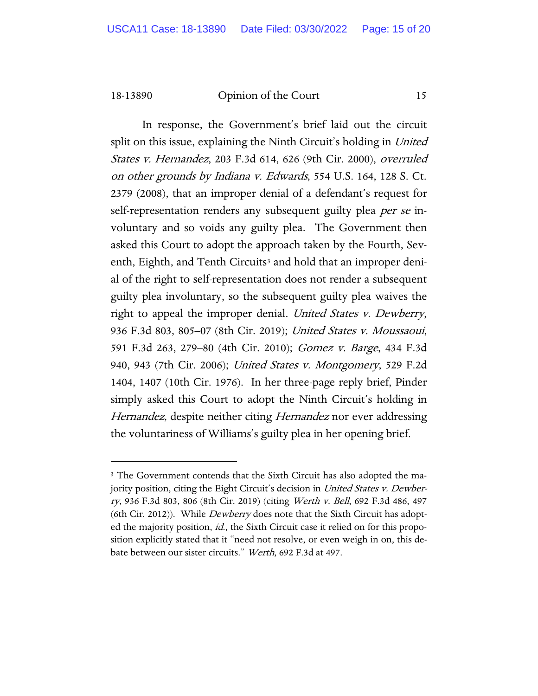In response, the Government's brief laid out the circuit split on this issue, explaining the Ninth Circuit's holding in United States v. Hernandez, 203 F.3d 614, 626 (9th Cir. 2000), overruled on other grounds by Indiana v. Edwards, 554 U.S. 164, 128 S. Ct. 2379 (2008), that an improper denial of a defendant's request for self-representation renders any subsequent guilty plea *per se* involuntary and so voids any guilty plea. The Government then asked this Court to adopt the approach taken by the Fourth, Sev-enth, Eighth, and Tenth Circuits<sup>[3](#page-14-0)</sup> and hold that an improper denial of the right to self-representation does not render a subsequent guilty plea involuntary, so the subsequent guilty plea waives the right to appeal the improper denial. United States v. Dewberry, 936 F.3d 803, 805–07 (8th Cir. 2019); United States v. Moussaoui, 591 F.3d 263, 279–80 (4th Cir. 2010); Gomez v. Barge, 434 F.3d 940, 943 (7th Cir. 2006); United States v. Montgomery, 529 F.2d 1404, 1407 (10th Cir. 1976). In her three-page reply brief, Pinder simply asked this Court to adopt the Ninth Circuit's holding in Hernandez, despite neither citing Hernandez nor ever addressing the voluntariness of Williams's guilty plea in her opening brief.

<span id="page-14-0"></span><sup>&</sup>lt;sup>3</sup> The Government contends that the Sixth Circuit has also adopted the majority position, citing the Eight Circuit's decision in United States v. Dewberry, 936 F.3d 803, 806 (8th Cir. 2019) (citing Werth v. Bell, 692 F.3d 486, 497 (6th Cir. 2012)). While *Dewberry* does note that the Sixth Circuit has adopted the majority position, id., the Sixth Circuit case it relied on for this proposition explicitly stated that it "need not resolve, or even weigh in on, this debate between our sister circuits." Werth, 692 F.3d at 497.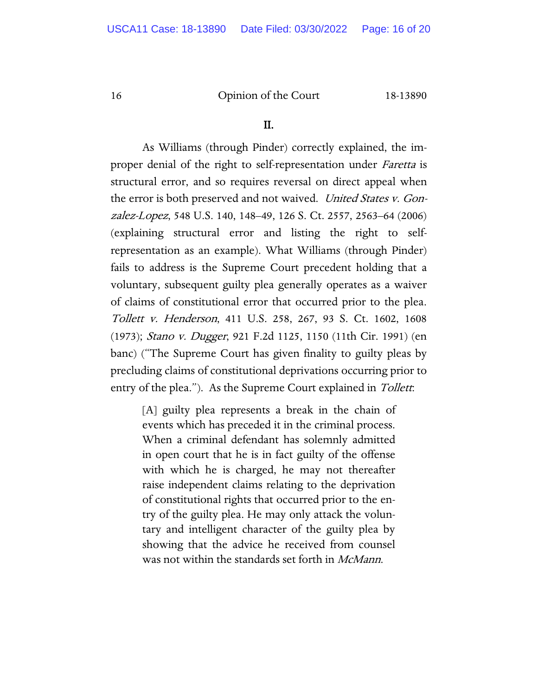#### II.

As Williams (through Pinder) correctly explained, the improper denial of the right to self-representation under *Faretta* is structural error, and so requires reversal on direct appeal when the error is both preserved and not waived. United States v. Gonzalez-Lopez, 548 U.S. 140, 148–49, 126 S. Ct. 2557, 2563–64 (2006) (explaining structural error and listing the right to selfrepresentation as an example). What Williams (through Pinder) fails to address is the Supreme Court precedent holding that a voluntary, subsequent guilty plea generally operates as a waiver of claims of constitutional error that occurred prior to the plea. Tollett v. Henderson, 411 U.S. 258, 267, 93 S. Ct. 1602, 1608 (1973); Stano v. Dugger, 921 F.2d 1125, 1150 (11th Cir. 1991) (en banc) ("The Supreme Court has given finality to guilty pleas by precluding claims of constitutional deprivations occurring prior to entry of the plea."). As the Supreme Court explained in Tollett.

> [A] guilty plea represents a break in the chain of events which has preceded it in the criminal process. When a criminal defendant has solemnly admitted in open court that he is in fact guilty of the offense with which he is charged, he may not thereafter raise independent claims relating to the deprivation of constitutional rights that occurred prior to the entry of the guilty plea. He may only attack the voluntary and intelligent character of the guilty plea by showing that the advice he received from counsel was not within the standards set forth in *McMann*.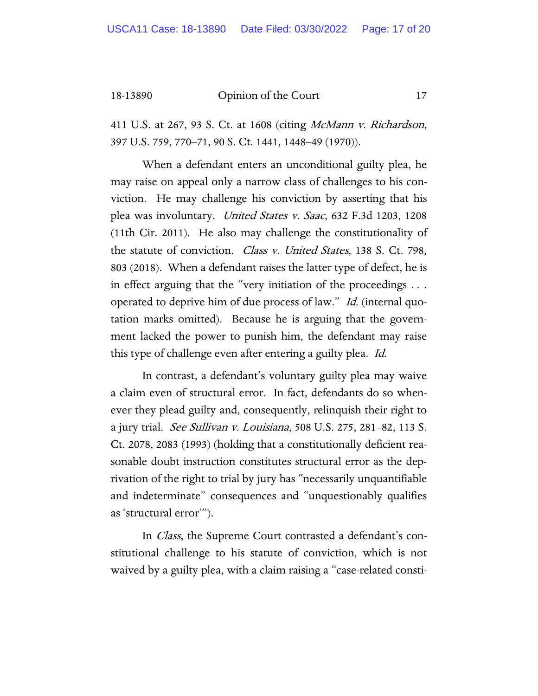411 U.S. at 267, 93 S. Ct. at 1608 (citing *McMann v. Richardson*, 397 U.S. 759, 770–71, 90 S. Ct. 1441, 1448–49 (1970)).

When a defendant enters an unconditional guilty plea, he may raise on appeal only a narrow class of challenges to his conviction. He may challenge his conviction by asserting that his plea was involuntary. United States v. Saac, 632 F.3d 1203, 1208 (11th Cir. 2011). He also may challenge the constitutionality of the statute of conviction. Class v. United States, 138 S. Ct. 798, 803 (2018). When a defendant raises the latter type of defect, he is in effect arguing that the "very initiation of the proceedings . . . operated to deprive him of due process of law." Id. (internal quotation marks omitted). Because he is arguing that the government lacked the power to punish him, the defendant may raise this type of challenge even after entering a guilty plea. *Id.* 

In contrast, a defendant's voluntary guilty plea may waive a claim even of structural error. In fact, defendants do so whenever they plead guilty and, consequently, relinquish their right to a jury trial. *See Sullivan v. Louisiana*, 508 U.S. 275, 281–82, 113 S. Ct. 2078, 2083 (1993) (holding that a constitutionally deficient reasonable doubt instruction constitutes structural error as the deprivation of the right to trial by jury has "necessarily unquantifiable and indeterminate" consequences and "unquestionably qualifies as 'structural error'").

In Class, the Supreme Court contrasted a defendant's constitutional challenge to his statute of conviction, which is not waived by a guilty plea, with a claim raising a "case-related consti-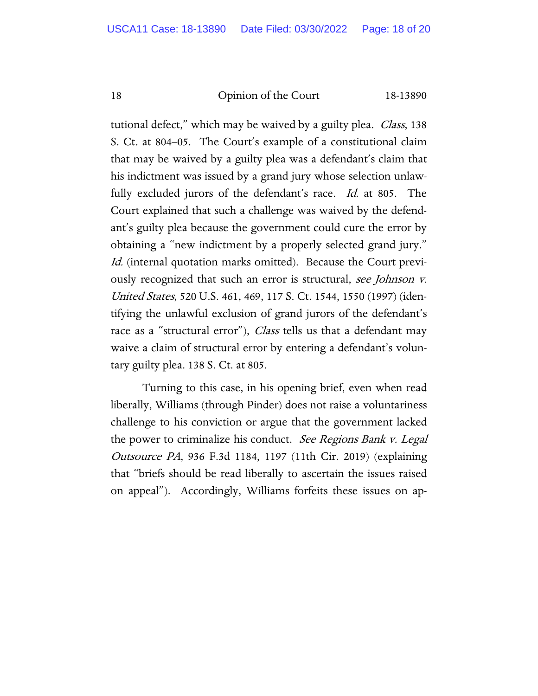tutional defect," which may be waived by a guilty plea. *Class*, 138 S. Ct. at 804–05. The Court's example of a constitutional claim that may be waived by a guilty plea was a defendant's claim that his indictment was issued by a grand jury whose selection unlawfully excluded jurors of the defendant's race. Id. at 805. The Court explained that such a challenge was waived by the defendant's guilty plea because the government could cure the error by obtaining a "new indictment by a properly selected grand jury." Id. (internal quotation marks omitted). Because the Court previously recognized that such an error is structural, see Johnson v. United States, 520 U.S. 461, 469, 117 S. Ct. 1544, 1550 (1997) (identifying the unlawful exclusion of grand jurors of the defendant's race as a "structural error"), *Class* tells us that a defendant may waive a claim of structural error by entering a defendant's voluntary guilty plea. 138 S. Ct. at 805.

Turning to this case, in his opening brief, even when read liberally, Williams (through Pinder) does not raise a voluntariness challenge to his conviction or argue that the government lacked the power to criminalize his conduct. See Regions Bank v. Legal Outsource PA, 936 F.3d 1184, 1197 (11th Cir. 2019) (explaining that "briefs should be read liberally to ascertain the issues raised on appeal"). Accordingly, Williams forfeits these issues on ap-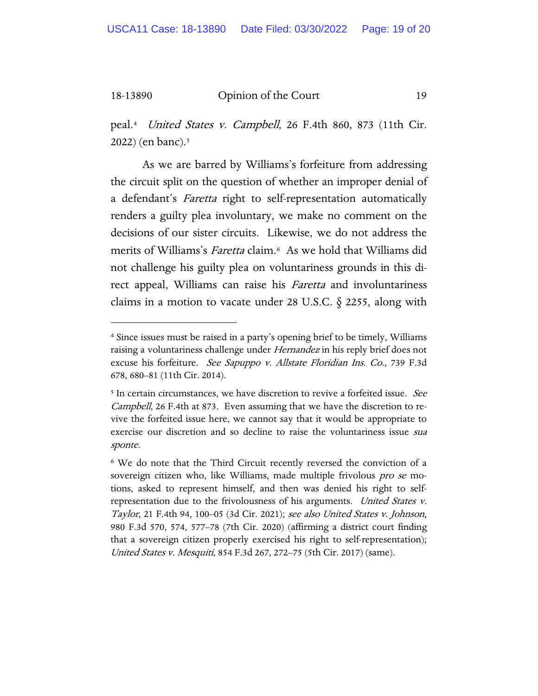peal.[4](#page-18-0) United States v. Campbell, 26 F.4th 860, 873 (11th Cir. 2022) (en banc)[.5](#page-18-1)

As we are barred by Williams's forfeiture from addressing the circuit split on the question of whether an improper denial of a defendant's Faretta right to self-representation automatically renders a guilty plea involuntary, we make no comment on the decisions of our sister circuits. Likewise, we do not address the merits of Williams's Faretta claim.<sup>6</sup> As we hold that Williams did not challenge his guilty plea on voluntariness grounds in this direct appeal, Williams can raise his Faretta and involuntariness claims in a motion to vacate under 28 U.S.C.  $\S$  2255, along with

<span id="page-18-0"></span><sup>4</sup> Since issues must be raised in a party's opening brief to be timely, Williams raising a voluntariness challenge under *Hernandez* in his reply brief does not excuse his forfeiture. See Sapuppo v. Allstate Floridian Ins. Co., 739 F.3d 678, 680–81 (11th Cir. 2014).

<span id="page-18-1"></span><sup>&</sup>lt;sup>5</sup> In certain circumstances, we have discretion to revive a forfeited issue. *See* Campbell, 26 F.4th at 873. Even assuming that we have the discretion to revive the forfeited issue here, we cannot say that it would be appropriate to exercise our discretion and so decline to raise the voluntariness issue *sua* sponte.

<span id="page-18-2"></span><sup>6</sup> We do note that the Third Circuit recently reversed the conviction of a sovereign citizen who, like Williams, made multiple frivolous *pro se* motions, asked to represent himself, and then was denied his right to selfrepresentation due to the frivolousness of his arguments. United States v. Taylor, 21 F.4th 94, 100–05 (3d Cir. 2021); see also United States v. Johnson, 980 F.3d 570, 574, 577–78 (7th Cir. 2020) (affirming a district court finding that a sovereign citizen properly exercised his right to self-representation); United States v. Mesquiti, 854 F.3d 267, 272–75 (5th Cir. 2017) (same).